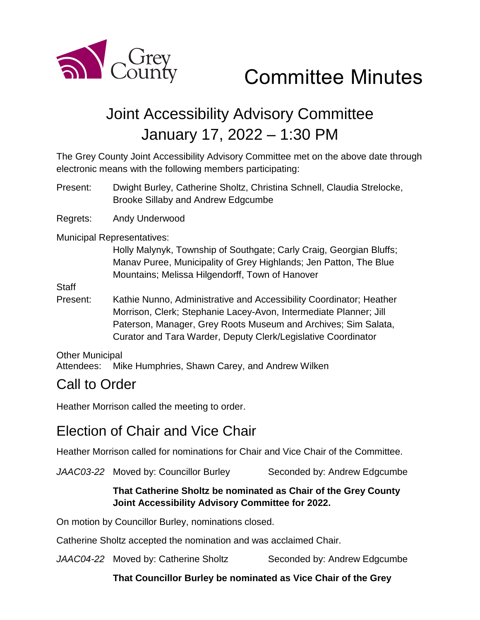

# Committee Minutes

## Joint Accessibility Advisory Committee January 17, 2022 – 1:30 PM

The Grey County Joint Accessibility Advisory Committee met on the above date through electronic means with the following members participating:

Present: Dwight Burley, Catherine Sholtz, Christina Schnell, Claudia Strelocke, Brooke Sillaby and Andrew Edgcumbe

Regrets: Andy Underwood

Municipal Representatives:

Holly Malynyk, Township of Southgate; Carly Craig, Georgian Bluffs; Manav Puree, Municipality of Grey Highlands; Jen Patton, The Blue Mountains; Melissa Hilgendorff, Town of Hanover

**Staff** 

Present: Kathie Nunno, Administrative and Accessibility Coordinator; Heather Morrison, Clerk; Stephanie Lacey-Avon, Intermediate Planner; Jill Paterson, Manager, Grey Roots Museum and Archives; Sim Salata, Curator and Tara Warder, Deputy Clerk/Legislative Coordinator

Other Municipal

Attendees: Mike Humphries, Shawn Carey, and Andrew Wilken

#### Call to Order

Heather Morrison called the meeting to order.

#### Election of Chair and Vice Chair

Heather Morrison called for nominations for Chair and Vice Chair of the Committee.

JAAC03-22 Moved by: Councillor Burley Seconded by: Andrew Edgcumbe

#### **That Catherine Sholtz be nominated as Chair of the Grey County Joint Accessibility Advisory Committee for 2022.**

On motion by Councillor Burley, nominations closed.

Catherine Sholtz accepted the nomination and was acclaimed Chair.

JAAC04-22 Moved by: Catherine Sholtz Seconded by: Andrew Edgcumbe

**That Councillor Burley be nominated as Vice Chair of the Grey**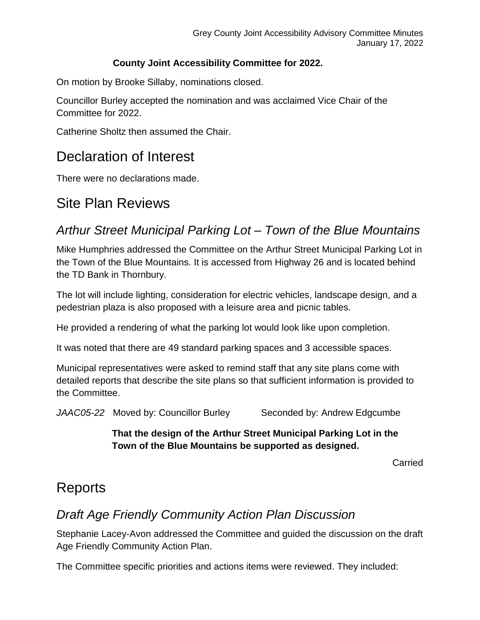#### **County Joint Accessibility Committee for 2022.**

On motion by Brooke Sillaby, nominations closed.

Councillor Burley accepted the nomination and was acclaimed Vice Chair of the Committee for 2022.

Catherine Sholtz then assumed the Chair.

### Declaration of Interest

There were no declarations made.

## Site Plan Reviews

#### *Arthur Street Municipal Parking Lot – Town of the Blue Mountains*

Mike Humphries addressed the Committee on the Arthur Street Municipal Parking Lot in the Town of the Blue Mountains. It is accessed from Highway 26 and is located behind the TD Bank in Thornbury.

The lot will include lighting, consideration for electric vehicles, landscape design, and a pedestrian plaza is also proposed with a leisure area and picnic tables.

He provided a rendering of what the parking lot would look like upon completion.

It was noted that there are 49 standard parking spaces and 3 accessible spaces.

Municipal representatives were asked to remind staff that any site plans come with detailed reports that describe the site plans so that sufficient information is provided to the Committee.

JAAC05-22 Moved by: Councillor Burley Seconded by: Andrew Edgcumbe

**That the design of the Arthur Street Municipal Parking Lot in the Town of the Blue Mountains be supported as designed.**

Carried

#### Reports

#### *Draft Age Friendly Community Action Plan Discussion*

Stephanie Lacey-Avon addressed the Committee and guided the discussion on the draft Age Friendly Community Action Plan.

The Committee specific priorities and actions items were reviewed. They included: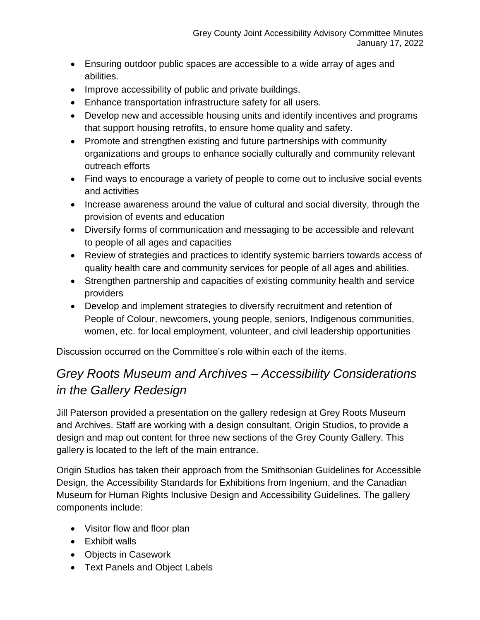- Ensuring outdoor public spaces are accessible to a wide array of ages and abilities.
- Improve accessibility of public and private buildings.
- Enhance transportation infrastructure safety for all users.
- Develop new and accessible housing units and identify incentives and programs that support housing retrofits, to ensure home quality and safety.
- Promote and strengthen existing and future partnerships with community organizations and groups to enhance socially culturally and community relevant outreach efforts
- Find ways to encourage a variety of people to come out to inclusive social events and activities
- Increase awareness around the value of cultural and social diversity, through the provision of events and education
- Diversify forms of communication and messaging to be accessible and relevant to people of all ages and capacities
- Review of strategies and practices to identify systemic barriers towards access of quality health care and community services for people of all ages and abilities.
- Strengthen partnership and capacities of existing community health and service providers
- Develop and implement strategies to diversify recruitment and retention of People of Colour, newcomers, young people, seniors, Indigenous communities, women, etc. for local employment, volunteer, and civil leadership opportunities

Discussion occurred on the Committee's role within each of the items.

#### *Grey Roots Museum and Archives – Accessibility Considerations in the Gallery Redesign*

Jill Paterson provided a presentation on the gallery redesign at Grey Roots Museum and Archives. Staff are working with a design consultant, Origin Studios, to provide a design and map out content for three new sections of the Grey County Gallery. This gallery is located to the left of the main entrance.

Origin Studios has taken their approach from the Smithsonian Guidelines for Accessible Design, the Accessibility Standards for Exhibitions from Ingenium, and the Canadian Museum for Human Rights Inclusive Design and Accessibility Guidelines. The gallery components include:

- Visitor flow and floor plan
- Exhibit walls
- Objects in Casework
- Text Panels and Object Labels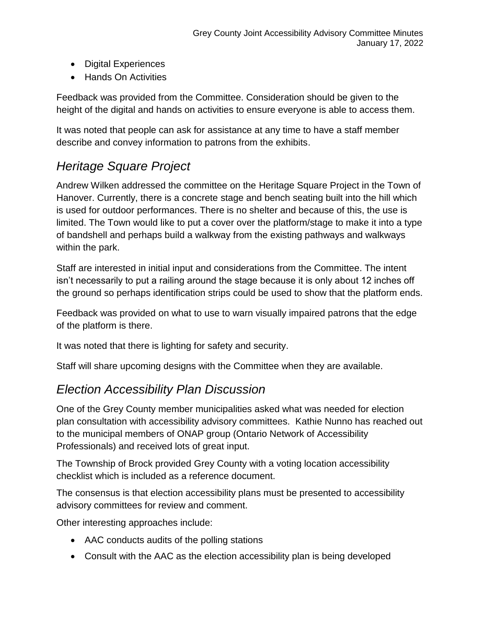- Digital Experiences
- Hands On Activities

Feedback was provided from the Committee. Consideration should be given to the height of the digital and hands on activities to ensure everyone is able to access them.

It was noted that people can ask for assistance at any time to have a staff member describe and convey information to patrons from the exhibits.

#### *Heritage Square Project*

Andrew Wilken addressed the committee on the Heritage Square Project in the Town of Hanover. Currently, there is a concrete stage and bench seating built into the hill which is used for outdoor performances. There is no shelter and because of this, the use is limited. The Town would like to put a cover over the platform/stage to make it into a type of bandshell and perhaps build a walkway from the existing pathways and walkways within the park.

Staff are interested in initial input and considerations from the Committee. The intent isn't necessarily to put a railing around the stage because it is only about 12 inches off the ground so perhaps identification strips could be used to show that the platform ends.

Feedback was provided on what to use to warn visually impaired patrons that the edge of the platform is there.

It was noted that there is lighting for safety and security.

Staff will share upcoming designs with the Committee when they are available.

#### *Election Accessibility Plan Discussion*

One of the Grey County member municipalities asked what was needed for election plan consultation with accessibility advisory committees. Kathie Nunno has reached out to the municipal members of ONAP group (Ontario Network of Accessibility Professionals) and received lots of great input.

The Township of Brock provided Grey County with a voting location accessibility checklist which is included as a reference document.

The consensus is that election accessibility plans must be presented to accessibility advisory committees for review and comment.

Other interesting approaches include:

- AAC conducts audits of the polling stations
- Consult with the AAC as the election accessibility plan is being developed